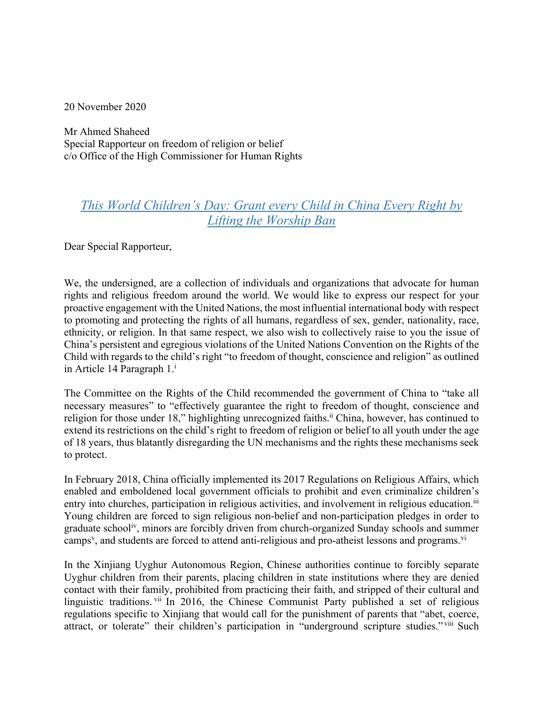20 November 2020

Mr Ahmed Shaheed Special Rapporteur on freedom of religion or belief c/o Office of the High Commissioner for Human Rights

## *This World Children's Day: Grant every Child in China Every Right by Lifting the Worship Ban*

Dear Special Rapporteur,

We, the undersigned, are a collection of individuals and organizations that advocate for human rights and religious freedom around the world. We would like to express our respect for your proactive engagement with the United Nations, the most influential international body with respect to promoting and protecting the rights of all humans, regardless of sex, gender, nationality, race, ethnicity, or religion. In that same respect, we also wish to collectively raise to you the issue of China's persistent and egregious violations of the United Nations Convention on the Rights of the Child with regards to the child's right "to freedom of thought, conscience and religion" as outlined in Article 14 Paragraph 1.<sup>i</sup>

The Committee on the Rights of the Child recommended the government of China to "take all necessary measures" to "effectively guarantee the right to freedom of thought, conscience and religion for those under 18," highlighting unrecognized faiths.<sup>ii</sup> China, however, has continued to extend its restrictions on the child's right to freedom of religion or belief to all youth under the age of 18 years, thus blatantly disregarding the UN mechanisms and the rights these mechanisms seek to protect.

In February 2018, China officially implemented its 2017 Regulations on Religious Affairs, which enabled and emboldened local government officials to prohibit and even criminalize children's entry into churches, participation in religious activities, and involvement in religious education.<sup>iii</sup> Young children are forced to sign religious non-belief and non-participation pledges in order to graduate schooliv, minors are forcibly driven from church-organized Sunday schools and summer camps<sup>v</sup>, and students are forced to attend anti-religious and pro-atheist lessons and programs.<sup>vi</sup>

In the Xinjiang Uyghur Autonomous Region, Chinese authorities continue to forcibly separate Uyghur children from their parents, placing children in state institutions where they are denied contact with their family, prohibited from practicing their faith, and stripped of their cultural and linguistic traditions. Vii In 2016, the Chinese Communist Party published a set of religious regulations specific to Xinjiang that would call for the punishment of parents that "abet, coerce, attract, or tolerate" their children's participation in "underground scripture studies." viii Such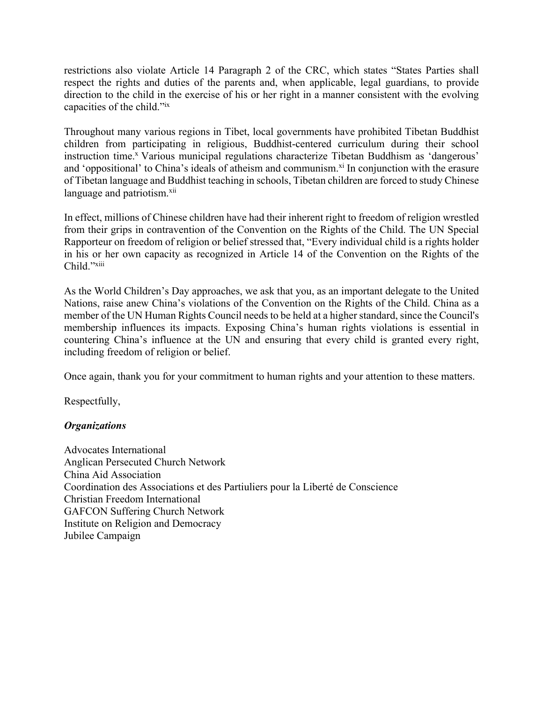restrictions also violate Article 14 Paragraph 2 of the CRC, which states "States Parties shall respect the rights and duties of the parents and, when applicable, legal guardians, to provide direction to the child in the exercise of his or her right in a manner consistent with the evolving capacities of the child."ix

Throughout many various regions in Tibet, local governments have prohibited Tibetan Buddhist children from participating in religious, Buddhist-centered curriculum during their school instruction time.<sup>x</sup> Various municipal regulations characterize Tibetan Buddhism as 'dangerous' and 'oppositional' to China's ideals of atheism and communism. $x_i$  In conjunction with the erasure of Tibetan language and Buddhist teaching in schools, Tibetan children are forced to study Chinese language and patriotism.<sup>xii</sup>

In effect, millions of Chinese children have had their inherent right to freedom of religion wrestled from their grips in contravention of the Convention on the Rights of the Child. The UN Special Rapporteur on freedom of religion or belief stressed that, "Every individual child is a rights holder in his or her own capacity as recognized in Article 14 of the Convention on the Rights of the Child."<sup>xiii</sup>

As the World Children's Day approaches, we ask that you, as an important delegate to the United Nations, raise anew China's violations of the Convention on the Rights of the Child. China as a member of the UN Human Rights Council needs to be held at a higher standard, since the Council's membership influences its impacts. Exposing China's human rights violations is essential in countering China's influence at the UN and ensuring that every child is granted every right, including freedom of religion or belief.

Once again, thank you for your commitment to human rights and your attention to these matters.

Respectfully,

## *Organizations*

Advocates International Anglican Persecuted Church Network China Aid Association Coordination des Associations et des Partiuliers pour la Liberté de Conscience Christian Freedom International GAFCON Suffering Church Network Institute on Religion and Democracy Jubilee Campaign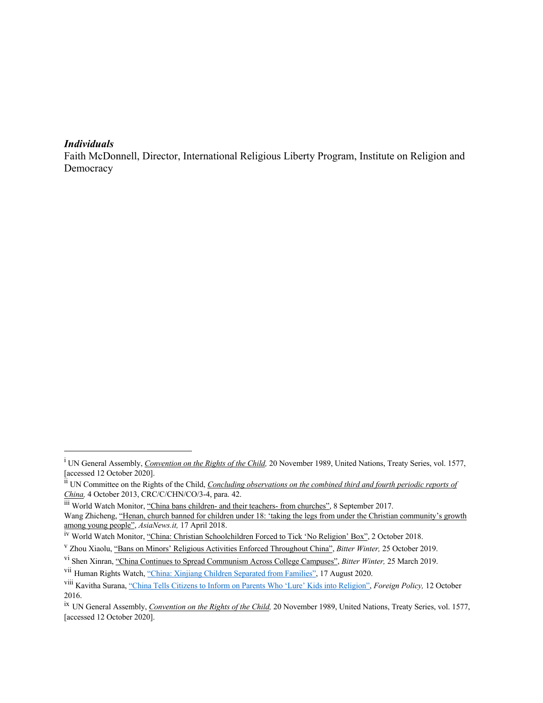## *Individuals*

Faith McDonnell, Director, International Religious Liberty Program, Institute on Religion and Democracy

iii World Watch Monitor, "China bans children- and their teachers- from churches", 8 September 2017.

<sup>&</sup>lt;sup>i</sup> UN General Assembly, *Convention on the Rights of the Child*, 20 November 1989, United Nations, Treaty Series, vol. 1577, [accessed 12 October 2020].

ii UN Committee on the Rights of the Child, *Concluding observations on the combined third and fourth periodic reports of China,* 4 October 2013, CRC/C/CHN/CO/3-4, para. 42.

Wang Zhicheng, "Henan, church banned for children under 18: 'taking the legs from under the Christian community's growth among young people", *AsiaNews.it,* 17 April 2018.

<sup>&</sup>lt;sup>iv</sup> World Watch Monitor, "China: Christian Schoolchildren Forced to Tick 'No Religion' Box", 2 October 2018.

<sup>v</sup> Zhou Xiaolu, "Bans on Minors' Religious Activities Enforced Throughout China", *Bitter Winter,* 25 October 2019.

vi Shen Xinran, "China Continues to Spread Communism Across College Campuses", *Bitter Winter,* 25 March 2019.

vii Human Rights Watch, "China: Xinjiang Children Separated from Families", 17 August 2020.

viii Kavitha Surana, "China Tells Citizens to Inform on Parents Who 'Lure' Kids into Religion", *Foreign Policy,* 12 October 2016.

ix UN General Assembly, *Convention on the Rights of the Child,* 20 November 1989, United Nations, Treaty Series, vol. 1577, [accessed 12 October 2020].